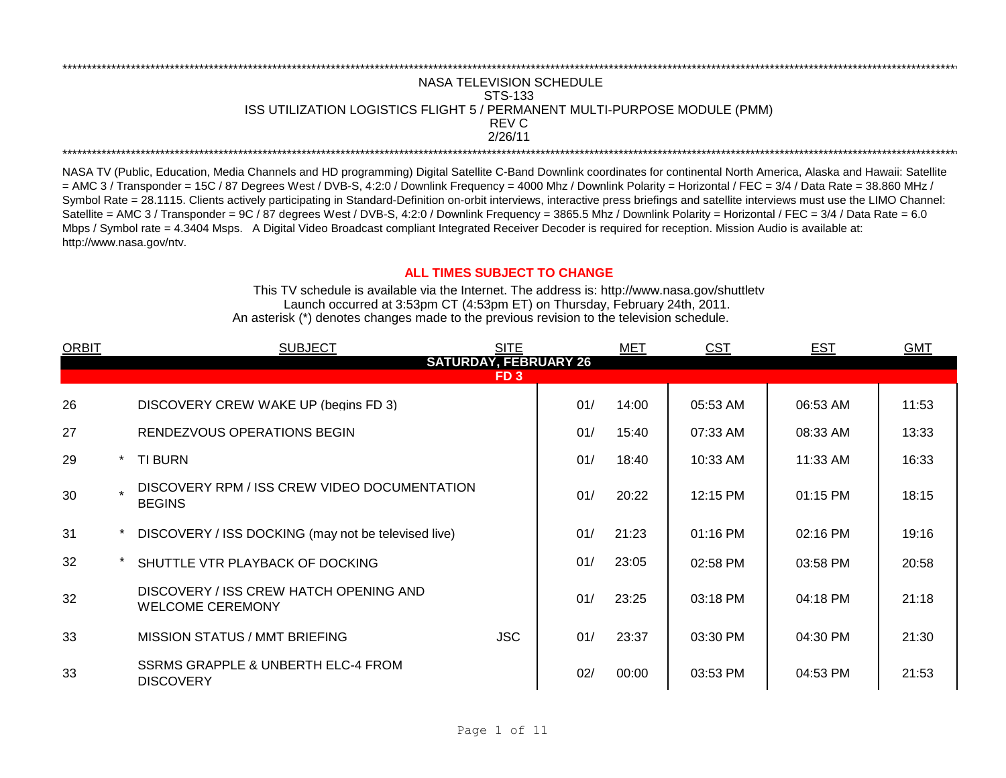## \*\*\*\*\*\*\*\*\*\*\*\*\*\*\*\*\*\*\*\*\*\*\*\*\*\*\*\*\*\*\*\*\*\*\*\*\*\*\*\*\*\*\*\*\*\*\*\*\*\*\*\*\*\*\*\*\*\*\*\*\*\*\*\*\*\*\*\*\*\*\*\*\*\*\*\*\*\*\*\*\*\*\*\*\*\*\*\*\*\*\*\*\*\*\*\*\*\*\*\*\*\*\*\*\*\*\*\*\*\*\*\*\*\*\*\*\*\*\*\*\*\*\*\*\*\*\*\*\*\*\*\*\*\*\*\*\*\*\*\*\*\*\*\*\*\*\*\*\*\*\*\*\*\*\*\*\*\*\*\*\*\*\*\*\*\*\*\*\*\*\*\*\*\*\*\*\*\*\*\*\*\*\*\*\* 2/26/11 \*\*\*\*\*\*\*\*\*\*\*\*\*\*\*\*\*\*\*\*\*\*\*\*\*\*\*\*\*\*\*\*\*\*\*\*\*\*\*\*\*\*\*\*\*\*\*\*\*\*\*\*\*\*\*\*\*\*\*\*\*\*\*\*\*\*\*\*\*\*\*\*\*\*\*\*\*\*\*\*\*\*\*\*\*\*\*\*\*\*\*\*\*\*\*\*\*\*\*\*\*\*\*\*\*\*\*\*\*\*\*\*\*\*\*\*\*\*\*\*\*\*\*\*\*\*\*\*\*\*\*\*\*\*\*\*\*\*\*\*\*\*\*\*\*\*\*\*\*\*\*\*\*\*\*\*\*\*\*\*\*\*\*\*\*\*\*\*\*\*\*\*\*\*\*\*\*\*\*\*\*\*\*\*\* NASA TELEVISION SCHEDULE STS-133 ISS UTILIZATION LOGISTICS FLIGHT 5 / PERMANENT MULTI-PURPOSE MODULE (PMM) REV C

NASA TV (Public, Education, Media Channels and HD programming) Digital Satellite C-Band Downlink coordinates for continental North America, Alaska and Hawaii: Satellite  $=$  AMC 3 / Transponder = 15C / 87 Degrees West / DVB-S, 4:2:0 / Downlink Frequency = 4000 Mhz / Downlink Polarity = Horizontal / FEC = 3/4 / Data Rate = 38.860 MHz / Symbol Rate = 28.1115. Clients actively participating in Standard-Definition on-orbit interviews, interactive press briefings and satellite interviews must use the LIMO Channel: Satellite = AMC 3 / Transponder = 9C / 87 degrees West / DVB-S, 4:2:0 / Downlink Frequency = 3865.5 Mhz / Downlink Polarity = Horizontal / FEC = 3/4 / Data Rate = 6.0 Mbps / Symbol rate = 4.3404 Msps. A Digital Video Broadcast compliant Integrated Receiver Decoder is required for reception. Mission Audio is available at: http://www.nasa.gov/ntv.

## **ALL TIMES SUBJECT TO CHANGE**

Launch occurred at 3:53pm CT (4:53pm ET) on Thursday, February 24th, 2011. An asterisk (\*) denotes changes made to the previous revision to the television schedule. This TV schedule is available via the Internet. The address is: http://www.nasa.gov/shuttletv

| <b>ORBIT</b> | <b>SITE</b><br><b>SUBJECT</b> |                                                                   |                 | MET | <b>CST</b> | <b>EST</b> | <b>GMT</b> |       |
|--------------|-------------------------------|-------------------------------------------------------------------|-----------------|-----|------------|------------|------------|-------|
|              |                               | <b>SATURDAY, FEBRUARY 26</b>                                      |                 |     |            |            |            |       |
|              |                               |                                                                   | FD <sub>3</sub> |     |            |            |            |       |
| 26           |                               | DISCOVERY CREW WAKE UP (begins FD 3)                              |                 | 01/ | 14:00      | 05:53 AM   | 06:53 AM   | 11:53 |
| 27           |                               | RENDEZVOUS OPERATIONS BEGIN                                       |                 | 01/ | 15:40      | 07:33 AM   | 08:33 AM   | 13:33 |
| 29           |                               | <b>TI BURN</b>                                                    |                 | 01/ | 18:40      | 10:33 AM   | 11:33 AM   | 16:33 |
| 30           |                               | DISCOVERY RPM / ISS CREW VIDEO DOCUMENTATION<br><b>BEGINS</b>     |                 | 01/ | 20:22      | 12:15 PM   | 01:15 PM   | 18:15 |
| 31           |                               | DISCOVERY / ISS DOCKING (may not be televised live)               |                 | 01/ | 21:23      | 01:16 PM   | 02:16 PM   | 19:16 |
| 32           |                               | SHUTTLE VTR PLAYBACK OF DOCKING                                   |                 | 01/ | 23:05      | 02:58 PM   | 03:58 PM   | 20:58 |
| 32           |                               | DISCOVERY / ISS CREW HATCH OPENING AND<br><b>WELCOME CEREMONY</b> |                 | 01/ | 23:25      | 03:18 PM   | 04:18 PM   | 21:18 |
| 33           |                               | <b>MISSION STATUS / MMT BRIEFING</b>                              | <b>JSC</b>      | 01/ | 23:37      | 03:30 PM   | 04:30 PM   | 21:30 |
| 33           |                               | SSRMS GRAPPLE & UNBERTH ELC-4 FROM<br><b>DISCOVERY</b>            |                 | 02/ | 00:00      | 03:53 PM   | 04:53 PM   | 21:53 |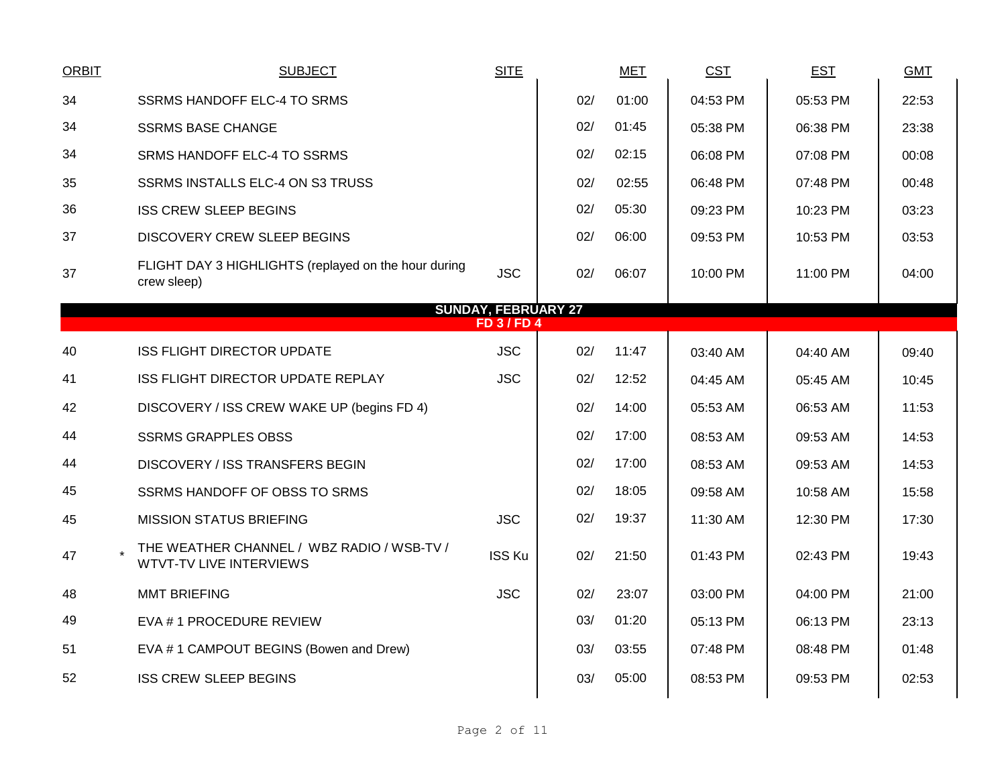| <b>ORBIT</b>                                     | <b>SUBJECT</b>                                                               | <b>SITE</b>   |     | <b>MET</b> | <b>CST</b> | <b>EST</b> | <b>GMT</b> |  |  |  |
|--------------------------------------------------|------------------------------------------------------------------------------|---------------|-----|------------|------------|------------|------------|--|--|--|
| 34                                               | SSRMS HANDOFF ELC-4 TO SRMS                                                  |               | 02/ | 01:00      | 04:53 PM   | 05:53 PM   | 22:53      |  |  |  |
| 34                                               | <b>SSRMS BASE CHANGE</b>                                                     |               | 02/ | 01:45      | 05:38 PM   | 06:38 PM   | 23:38      |  |  |  |
| 34                                               | SRMS HANDOFF ELC-4 TO SSRMS                                                  |               | 02/ | 02:15      | 06:08 PM   | 07:08 PM   | 00:08      |  |  |  |
| 35                                               | SSRMS INSTALLS ELC-4 ON S3 TRUSS                                             |               | 02/ | 02:55      | 06:48 PM   | 07:48 PM   | 00:48      |  |  |  |
| 36                                               | <b>ISS CREW SLEEP BEGINS</b>                                                 |               | 02/ | 05:30      | 09:23 PM   | 10:23 PM   | 03:23      |  |  |  |
| 37                                               | <b>DISCOVERY CREW SLEEP BEGINS</b>                                           |               | 02/ | 06:00      | 09:53 PM   | 10:53 PM   | 03:53      |  |  |  |
| 37                                               | FLIGHT DAY 3 HIGHLIGHTS (replayed on the hour during<br>crew sleep)          | <b>JSC</b>    | 02/ | 06:07      | 10:00 PM   | 11:00 PM   | 04:00      |  |  |  |
| <b>SUNDAY, FEBRUARY 27</b><br><b>FD 3 / FD 4</b> |                                                                              |               |     |            |            |            |            |  |  |  |
| 40                                               | <b>ISS FLIGHT DIRECTOR UPDATE</b>                                            | <b>JSC</b>    | 02/ | 11:47      | 03:40 AM   | 04:40 AM   | 09:40      |  |  |  |
| 41                                               | ISS FLIGHT DIRECTOR UPDATE REPLAY                                            | <b>JSC</b>    | 02/ | 12:52      | 04:45 AM   | 05:45 AM   | 10:45      |  |  |  |
| 42                                               | DISCOVERY / ISS CREW WAKE UP (begins FD 4)                                   |               | 02/ | 14:00      | 05:53 AM   | 06:53 AM   | 11:53      |  |  |  |
| 44                                               | <b>SSRMS GRAPPLES OBSS</b>                                                   |               | 02/ | 17:00      | 08:53 AM   | 09:53 AM   | 14:53      |  |  |  |
| 44                                               | DISCOVERY / ISS TRANSFERS BEGIN                                              |               | 02/ | 17:00      | 08:53 AM   | 09:53 AM   | 14:53      |  |  |  |
| 45                                               | SSRMS HANDOFF OF OBSS TO SRMS                                                |               | 02/ | 18:05      | 09:58 AM   | 10:58 AM   | 15:58      |  |  |  |
| 45                                               | <b>MISSION STATUS BRIEFING</b>                                               | <b>JSC</b>    | 02/ | 19:37      | 11:30 AM   | 12:30 PM   | 17:30      |  |  |  |
| 47                                               | THE WEATHER CHANNEL / WBZ RADIO / WSB-TV /<br><b>WTVT-TV LIVE INTERVIEWS</b> | <b>ISS Ku</b> | 02/ | 21:50      | 01:43 PM   | 02:43 PM   | 19:43      |  |  |  |
| 48                                               | <b>MMT BRIEFING</b>                                                          | <b>JSC</b>    | 02/ | 23:07      | 03:00 PM   | 04:00 PM   | 21:00      |  |  |  |
| 49                                               | EVA # 1 PROCEDURE REVIEW                                                     |               | 03/ | 01:20      | 05:13 PM   | 06:13 PM   | 23:13      |  |  |  |
| 51                                               | EVA #1 CAMPOUT BEGINS (Bowen and Drew)                                       |               | 03/ | 03:55      | 07:48 PM   | 08:48 PM   | 01:48      |  |  |  |
| 52                                               | <b>ISS CREW SLEEP BEGINS</b>                                                 |               | 03/ | 05:00      | 08:53 PM   | 09:53 PM   | 02:53      |  |  |  |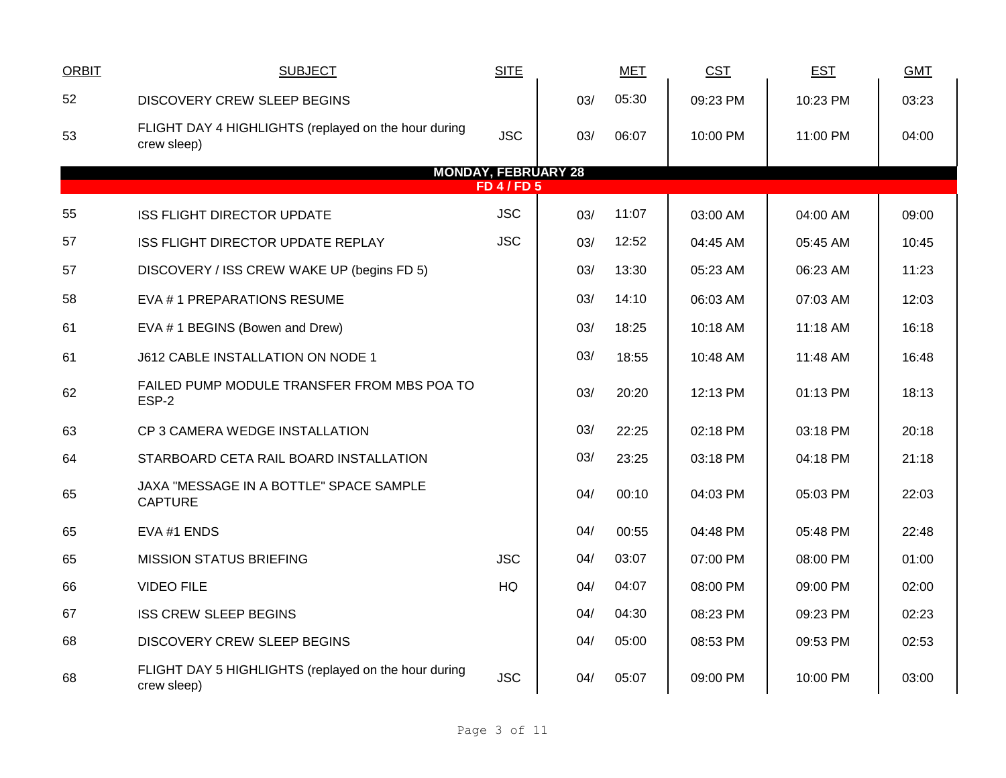| <b>ORBIT</b> | <b>SUBJECT</b>                                                      | <b>SITE</b> |     | <b>MET</b> | <b>CST</b> | <b>EST</b> | <b>GMT</b> |  |  |  |  |  |
|--------------|---------------------------------------------------------------------|-------------|-----|------------|------------|------------|------------|--|--|--|--|--|
| 52           | <b>DISCOVERY CREW SLEEP BEGINS</b>                                  |             | 03/ | 05:30      | 09:23 PM   | 10:23 PM   | 03:23      |  |  |  |  |  |
| 53           | FLIGHT DAY 4 HIGHLIGHTS (replayed on the hour during<br>crew sleep) | <b>JSC</b>  | 03/ | 06:07      | 10:00 PM   | 11:00 PM   | 04:00      |  |  |  |  |  |
|              | <b>MONDAY, FEBRUARY 28</b><br><b>FD 4 / FD 5</b>                    |             |     |            |            |            |            |  |  |  |  |  |
| 55           | <b>ISS FLIGHT DIRECTOR UPDATE</b>                                   | <b>JSC</b>  | 03/ | 11:07      | 03:00 AM   | 04:00 AM   | 09:00      |  |  |  |  |  |
| 57           | ISS FLIGHT DIRECTOR UPDATE REPLAY                                   | <b>JSC</b>  | 03/ | 12:52      | 04:45 AM   | 05:45 AM   | 10:45      |  |  |  |  |  |
| 57           | DISCOVERY / ISS CREW WAKE UP (begins FD 5)                          |             | 03/ | 13:30      | 05:23 AM   | 06:23 AM   | 11:23      |  |  |  |  |  |
| 58           | EVA #1 PREPARATIONS RESUME                                          |             | 03/ | 14:10      | 06:03 AM   | 07:03 AM   | 12:03      |  |  |  |  |  |
| 61           | EVA #1 BEGINS (Bowen and Drew)                                      |             | 03/ | 18:25      | 10:18 AM   | 11:18 AM   | 16:18      |  |  |  |  |  |
| 61           | J612 CABLE INSTALLATION ON NODE 1                                   |             | 03/ | 18:55      | 10:48 AM   | 11:48 AM   | 16:48      |  |  |  |  |  |
| 62           | FAILED PUMP MODULE TRANSFER FROM MBS POA TO<br>ESP-2                |             | 03/ | 20:20      | 12:13 PM   | 01:13 PM   | 18:13      |  |  |  |  |  |
| 63           | CP 3 CAMERA WEDGE INSTALLATION                                      |             | 03/ | 22:25      | 02:18 PM   | 03:18 PM   | 20:18      |  |  |  |  |  |
| 64           | STARBOARD CETA RAIL BOARD INSTALLATION                              |             | 03/ | 23:25      | 03:18 PM   | 04:18 PM   | 21:18      |  |  |  |  |  |
| 65           | JAXA "MESSAGE IN A BOTTLE" SPACE SAMPLE<br><b>CAPTURE</b>           |             | 04/ | 00:10      | 04:03 PM   | 05:03 PM   | 22:03      |  |  |  |  |  |
| 65           | EVA #1 ENDS                                                         |             | 04/ | 00:55      | 04:48 PM   | 05:48 PM   | 22:48      |  |  |  |  |  |
| 65           | <b>MISSION STATUS BRIEFING</b>                                      | <b>JSC</b>  | 04/ | 03:07      | 07:00 PM   | 08:00 PM   | 01:00      |  |  |  |  |  |
| 66           | <b>VIDEO FILE</b>                                                   | HQ          | 04/ | 04:07      | 08:00 PM   | 09:00 PM   | 02:00      |  |  |  |  |  |
| 67           | <b>ISS CREW SLEEP BEGINS</b>                                        |             | 04/ | 04:30      | 08:23 PM   | 09:23 PM   | 02:23      |  |  |  |  |  |
| 68           | DISCOVERY CREW SLEEP BEGINS                                         |             | 04/ | 05:00      | 08:53 PM   | 09:53 PM   | 02:53      |  |  |  |  |  |
| 68           | FLIGHT DAY 5 HIGHLIGHTS (replayed on the hour during<br>crew sleep) | <b>JSC</b>  | 04/ | 05:07      | 09:00 PM   | 10:00 PM   | 03:00      |  |  |  |  |  |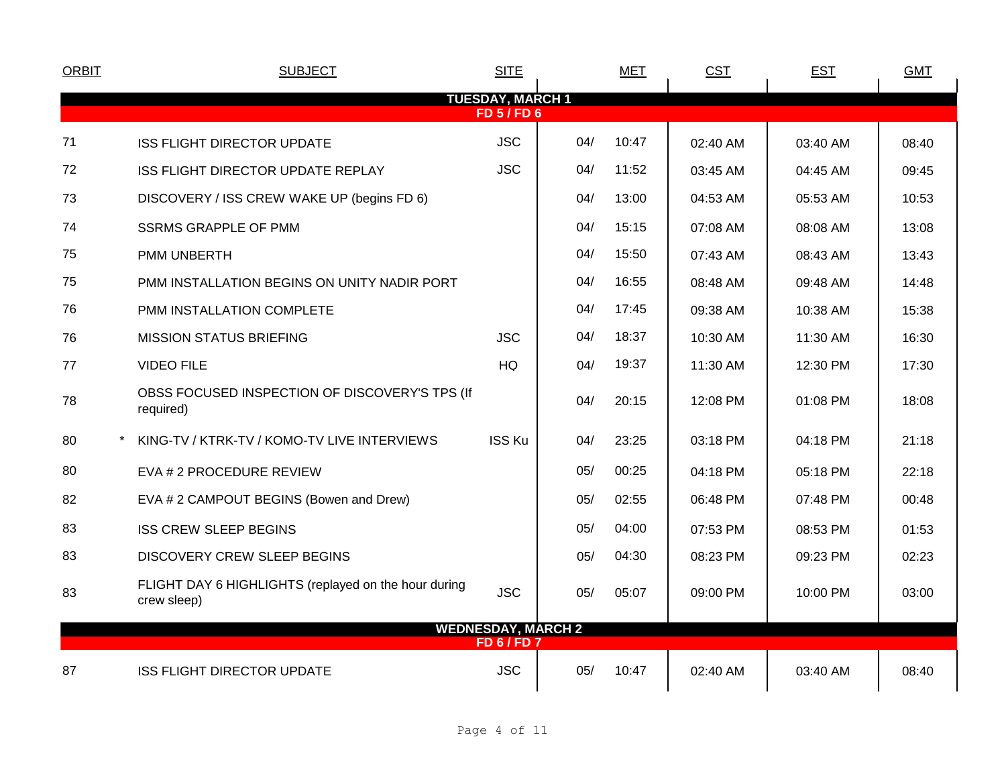| <b>ORBIT</b> | <b>SUBJECT</b>                                                      | <b>SITE</b>                                     |     | <b>MET</b> | <b>CST</b> | <b>EST</b> | <b>GMT</b> |
|--------------|---------------------------------------------------------------------|-------------------------------------------------|-----|------------|------------|------------|------------|
|              |                                                                     | <b>TUESDAY, MARCH 1</b>                         |     |            |            |            |            |
|              |                                                                     | <b>FD 5 / FD 6</b>                              |     |            |            |            |            |
| 71           | <b>ISS FLIGHT DIRECTOR UPDATE</b>                                   | <b>JSC</b>                                      | 04/ | 10:47      | 02:40 AM   | 03:40 AM   | 08:40      |
| 72           | ISS FLIGHT DIRECTOR UPDATE REPLAY                                   | <b>JSC</b>                                      | 04/ | 11:52      | 03:45 AM   | 04:45 AM   | 09:45      |
| 73           | DISCOVERY / ISS CREW WAKE UP (begins FD 6)                          |                                                 | 04/ | 13:00      | 04:53 AM   | 05:53 AM   | 10:53      |
| 74           | <b>SSRMS GRAPPLE OF PMM</b>                                         |                                                 | 04/ | 15:15      | 07:08 AM   | 08:08 AM   | 13:08      |
| 75           | PMM UNBERTH                                                         |                                                 | 04/ | 15:50      | 07:43 AM   | 08:43 AM   | 13:43      |
| 75           | PMM INSTALLATION BEGINS ON UNITY NADIR PORT                         |                                                 | 04/ | 16:55      | 08:48 AM   | 09:48 AM   | 14:48      |
| 76           | PMM INSTALLATION COMPLETE                                           |                                                 | 04/ | 17:45      | 09:38 AM   | 10:38 AM   | 15:38      |
| 76           | <b>MISSION STATUS BRIEFING</b>                                      | <b>JSC</b>                                      | 04/ | 18:37      | 10:30 AM   | 11:30 AM   | 16:30      |
| 77           | <b>VIDEO FILE</b>                                                   | HQ                                              | 04/ | 19:37      | 11:30 AM   | 12:30 PM   | 17:30      |
| 78           | OBSS FOCUSED INSPECTION OF DISCOVERY'S TPS (If<br>required)         |                                                 | 04/ | 20:15      | 12:08 PM   | 01:08 PM   | 18:08      |
| 80           | KING-TV / KTRK-TV / KOMO-TV LIVE INTERVIEWS                         | <b>ISS Ku</b>                                   | 04/ | 23:25      | 03:18 PM   | 04:18 PM   | 21:18      |
| 80           | EVA # 2 PROCEDURE REVIEW                                            |                                                 | 05/ | 00:25      | 04:18 PM   | 05:18 PM   | 22:18      |
| 82           | EVA # 2 CAMPOUT BEGINS (Bowen and Drew)                             |                                                 | 05/ | 02:55      | 06:48 PM   | 07:48 PM   | 00:48      |
| 83           | <b>ISS CREW SLEEP BEGINS</b>                                        |                                                 | 05/ | 04:00      | 07:53 PM   | 08:53 PM   | 01:53      |
| 83           | <b>DISCOVERY CREW SLEEP BEGINS</b>                                  |                                                 | 05/ | 04:30      | 08:23 PM   | 09:23 PM   | 02:23      |
| 83           | FLIGHT DAY 6 HIGHLIGHTS (replayed on the hour during<br>crew sleep) | <b>JSC</b>                                      | 05/ | 05:07      | 09:00 PM   | 10:00 PM   | 03:00      |
|              |                                                                     | <b>WEDNESDAY, MARCH 2</b><br><b>FD 6 / FD 7</b> |     |            |            |            |            |
| 87           | <b>ISS FLIGHT DIRECTOR UPDATE</b>                                   | <b>JSC</b>                                      | 05/ | 10:47      | 02:40 AM   | 03:40 AM   | 08:40      |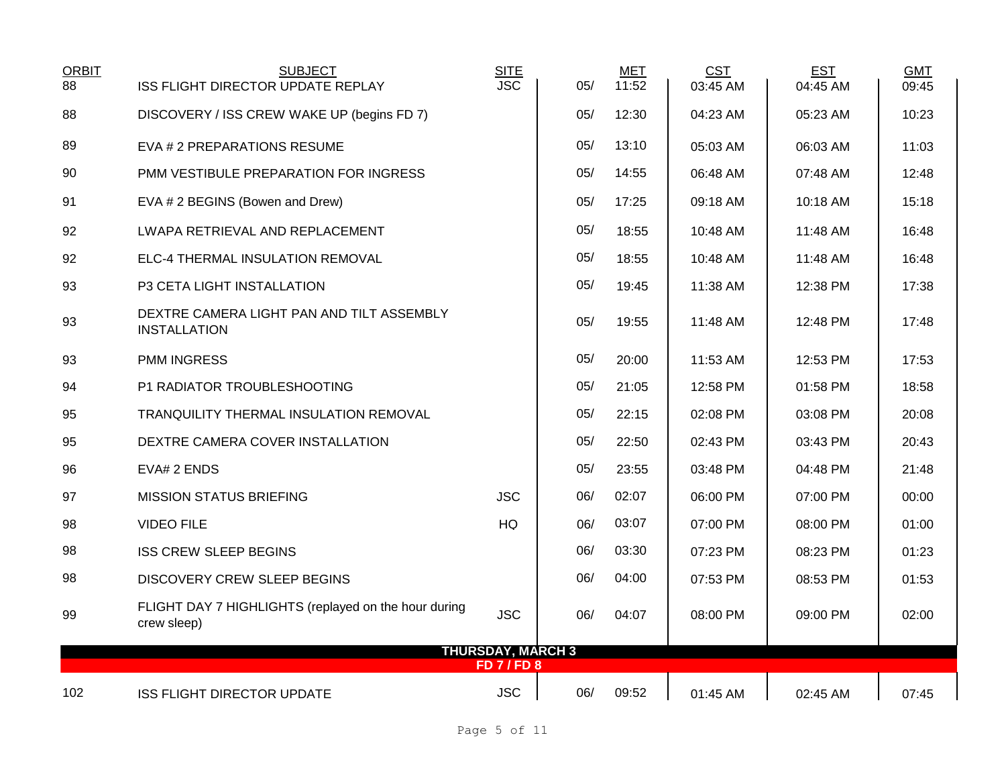| <b>ORBIT</b> | <b>SUBJECT</b>                                                      | SITE<br>JSC                             |     | MET   | <b>CST</b> | <b>EST</b> | <b>GMT</b> |
|--------------|---------------------------------------------------------------------|-----------------------------------------|-----|-------|------------|------------|------------|
| 88           | ISS FLIGHT DIRECTOR UPDATE REPLAY                                   |                                         | 05/ | 11:52 | 03:45 AM   | 04:45 AM   | 09:45      |
| 88           | DISCOVERY / ISS CREW WAKE UP (begins FD 7)                          |                                         | 05/ | 12:30 | 04:23 AM   | 05:23 AM   | 10:23      |
| 89           | EVA # 2 PREPARATIONS RESUME                                         |                                         | 05/ | 13:10 | 05:03 AM   | 06:03 AM   | 11:03      |
| 90           | PMM VESTIBULE PREPARATION FOR INGRESS                               |                                         | 05/ | 14:55 | 06:48 AM   | 07:48 AM   | 12:48      |
| 91           | EVA # 2 BEGINS (Bowen and Drew)                                     |                                         | 05/ | 17:25 | 09:18 AM   | 10:18 AM   | 15:18      |
| 92           | LWAPA RETRIEVAL AND REPLACEMENT                                     |                                         | 05/ | 18:55 | 10:48 AM   | 11:48 AM   | 16:48      |
| 92           | ELC-4 THERMAL INSULATION REMOVAL                                    |                                         | 05/ | 18:55 | 10:48 AM   | 11:48 AM   | 16:48      |
| 93           | P3 CETA LIGHT INSTALLATION                                          |                                         | 05/ | 19:45 | 11:38 AM   | 12:38 PM   | 17:38      |
| 93           | DEXTRE CAMERA LIGHT PAN AND TILT ASSEMBLY<br><b>INSTALLATION</b>    |                                         | 05/ | 19:55 | 11:48 AM   | 12:48 PM   | 17:48      |
| 93           | <b>PMM INGRESS</b>                                                  |                                         | 05/ | 20:00 | 11:53 AM   | 12:53 PM   | 17:53      |
| 94           | P1 RADIATOR TROUBLESHOOTING                                         |                                         | 05/ | 21:05 | 12:58 PM   | 01:58 PM   | 18:58      |
| 95           | TRANQUILITY THERMAL INSULATION REMOVAL                              |                                         | 05/ | 22:15 | 02:08 PM   | 03:08 PM   | 20:08      |
| 95           | DEXTRE CAMERA COVER INSTALLATION                                    |                                         | 05/ | 22:50 | 02:43 PM   | 03:43 PM   | 20:43      |
| 96           | EVA# 2 ENDS                                                         |                                         | 05/ | 23:55 | 03:48 PM   | 04:48 PM   | 21:48      |
| 97           | <b>MISSION STATUS BRIEFING</b>                                      | <b>JSC</b>                              | 06/ | 02:07 | 06:00 PM   | 07:00 PM   | 00:00      |
| 98           | <b>VIDEO FILE</b>                                                   | <b>HQ</b>                               | 06/ | 03:07 | 07:00 PM   | 08:00 PM   | 01:00      |
| 98           | <b>ISS CREW SLEEP BEGINS</b>                                        |                                         | 06/ | 03:30 | 07:23 PM   | 08:23 PM   | 01:23      |
| 98           | <b>DISCOVERY CREW SLEEP BEGINS</b>                                  |                                         | 06/ | 04:00 | 07:53 PM   | 08:53 PM   | 01:53      |
| 99           | FLIGHT DAY 7 HIGHLIGHTS (replayed on the hour during<br>crew sleep) | <b>JSC</b>                              | 06/ | 04:07 | 08:00 PM   | 09:00 PM   | 02:00      |
|              |                                                                     | <b>THURSDAY, MARCH 3</b><br>FD 7 / FD 8 |     |       |            |            |            |
|              |                                                                     |                                         |     |       |            |            |            |
| 102          | <b>ISS FLIGHT DIRECTOR UPDATE</b>                                   | <b>JSC</b>                              | 06/ | 09:52 | 01:45 AM   | 02:45 AM   | 07:45      |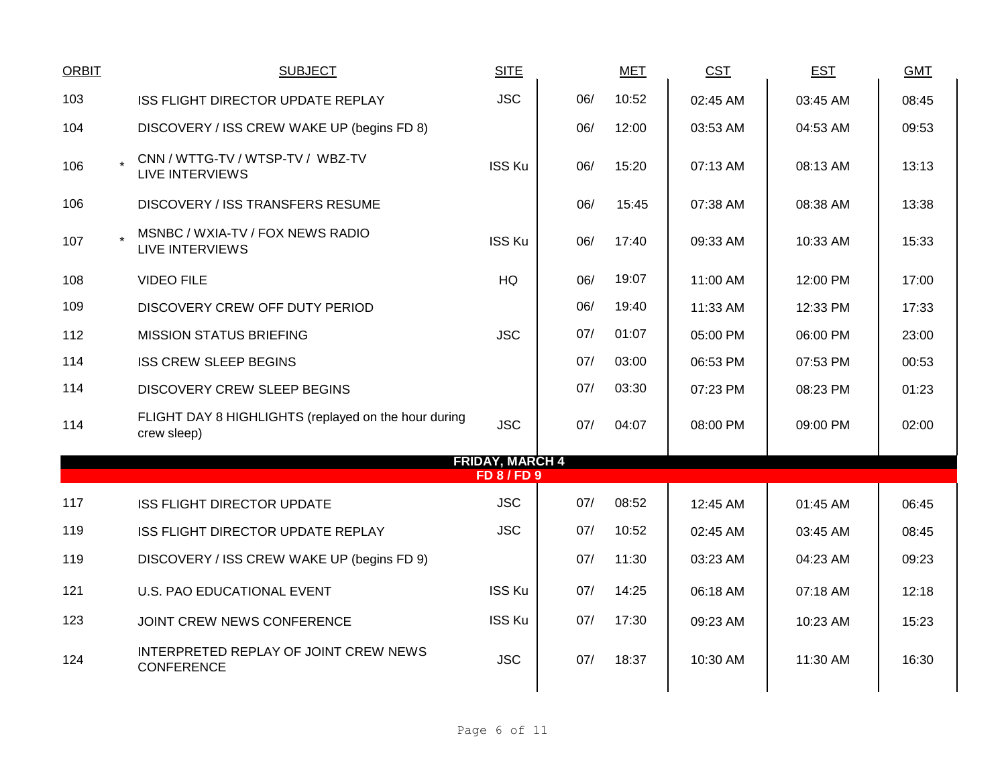| <b>ORBIT</b> | <b>SUBJECT</b>                                                      | <b>SITE</b>                                  |     | <b>MET</b> | <b>CST</b> | <b>EST</b> | <b>GMT</b> |
|--------------|---------------------------------------------------------------------|----------------------------------------------|-----|------------|------------|------------|------------|
| 103          | ISS FLIGHT DIRECTOR UPDATE REPLAY                                   | <b>JSC</b>                                   | 06/ | 10:52      | 02:45 AM   | 03:45 AM   | 08:45      |
| 104          | DISCOVERY / ISS CREW WAKE UP (begins FD 8)                          |                                              | 06/ | 12:00      | 03:53 AM   | 04:53 AM   | 09:53      |
| 106          | CNN / WTTG-TV / WTSP-TV / WBZ-TV<br><b>LIVE INTERVIEWS</b>          | <b>ISS Ku</b>                                | 06/ | 15:20      | 07:13 AM   | 08:13 AM   | 13:13      |
| 106          | DISCOVERY / ISS TRANSFERS RESUME                                    |                                              | 06/ | 15:45      | 07:38 AM   | 08:38 AM   | 13:38      |
| 107          | MSNBC / WXIA-TV / FOX NEWS RADIO<br><b>LIVE INTERVIEWS</b>          | <b>ISS Ku</b>                                | 06/ | 17:40      | 09:33 AM   | 10:33 AM   | 15:33      |
| 108          | <b>VIDEO FILE</b>                                                   | <b>HQ</b>                                    | 06/ | 19:07      | 11:00 AM   | 12:00 PM   | 17:00      |
| 109          | DISCOVERY CREW OFF DUTY PERIOD                                      |                                              | 06/ | 19:40      | 11:33 AM   | 12:33 PM   | 17:33      |
| 112          | <b>MISSION STATUS BRIEFING</b>                                      | <b>JSC</b>                                   | 07/ | 01:07      | 05:00 PM   | 06:00 PM   | 23:00      |
| 114          | <b>ISS CREW SLEEP BEGINS</b>                                        |                                              | 07/ | 03:00      | 06:53 PM   | 07:53 PM   | 00:53      |
| 114          | DISCOVERY CREW SLEEP BEGINS                                         |                                              | 07/ | 03:30      | 07:23 PM   | 08:23 PM   | 01:23      |
| 114          | FLIGHT DAY 8 HIGHLIGHTS (replayed on the hour during<br>crew sleep) | <b>JSC</b>                                   | 07/ | 04:07      | 08:00 PM   | 09:00 PM   | 02:00      |
|              |                                                                     | <b>FRIDAY, MARCH 4</b><br><b>FD 8 / FD 9</b> |     |            |            |            |            |
| 117          | <b>ISS FLIGHT DIRECTOR UPDATE</b>                                   | <b>JSC</b>                                   | 07/ | 08:52      | 12:45 AM   | 01:45 AM   | 06:45      |
| 119          | ISS FLIGHT DIRECTOR UPDATE REPLAY                                   | <b>JSC</b>                                   | 07/ | 10:52      | 02:45 AM   | 03:45 AM   | 08:45      |
| 119          | DISCOVERY / ISS CREW WAKE UP (begins FD 9)                          |                                              | 07/ | 11:30      | 03:23 AM   | 04:23 AM   | 09:23      |
| 121          | U.S. PAO EDUCATIONAL EVENT                                          | <b>ISS Ku</b>                                | 07/ | 14:25      | 06:18 AM   | 07:18 AM   | 12:18      |
| 123          | JOINT CREW NEWS CONFERENCE                                          | <b>ISS Ku</b>                                | 07/ | 17:30      | 09:23 AM   | 10:23 AM   | 15:23      |
| 124          | INTERPRETED REPLAY OF JOINT CREW NEWS<br><b>CONFERENCE</b>          | <b>JSC</b>                                   | 07/ | 18:37      | 10:30 AM   | 11:30 AM   | 16:30      |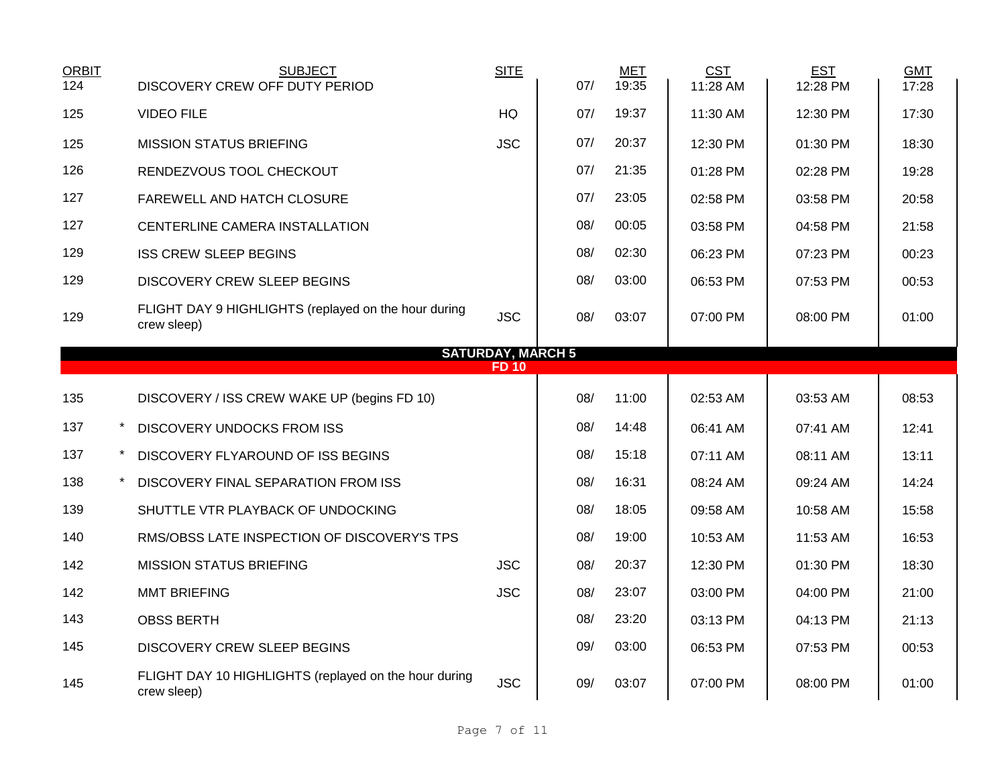| <b>ORBIT</b><br>124 | <b>SUBJECT</b><br>DISCOVERY CREW OFF DUTY PERIOD                     | <b>SITE</b>              | 07/ | <b>MET</b><br>19:35 | <b>CST</b><br>11:28 AM | <b>EST</b><br>12:28 PM | <b>GMT</b><br>17:28 |
|---------------------|----------------------------------------------------------------------|--------------------------|-----|---------------------|------------------------|------------------------|---------------------|
| 125                 | <b>VIDEO FILE</b>                                                    | HQ                       | 07/ | 19:37               | 11:30 AM               | 12:30 PM               | 17:30               |
| 125                 | <b>MISSION STATUS BRIEFING</b>                                       | <b>JSC</b>               | 07/ | 20:37               | 12:30 PM               | 01:30 PM               | 18:30               |
| 126                 | RENDEZVOUS TOOL CHECKOUT                                             |                          | 07/ | 21:35               | 01:28 PM               | 02:28 PM               | 19:28               |
| 127                 | FAREWELL AND HATCH CLOSURE                                           |                          | 07/ | 23:05               | 02:58 PM               | 03:58 PM               | 20:58               |
| 127                 | CENTERLINE CAMERA INSTALLATION                                       |                          | 08/ | 00:05               | 03:58 PM               | 04:58 PM               | 21:58               |
| 129                 | <b>ISS CREW SLEEP BEGINS</b>                                         |                          | 08/ | 02:30               | 06:23 PM               | 07:23 PM               | 00:23               |
| 129                 | DISCOVERY CREW SLEEP BEGINS                                          |                          | 08/ | 03:00               | 06:53 PM               | 07:53 PM               | 00:53               |
| 129                 | FLIGHT DAY 9 HIGHLIGHTS (replayed on the hour during<br>crew sleep)  | <b>JSC</b>               | 08/ | 03:07               | 07:00 PM               | 08:00 PM               | 01:00               |
|                     |                                                                      | <b>SATURDAY, MARCH 5</b> |     |                     |                        |                        |                     |
|                     |                                                                      | <b>FD10</b>              |     |                     |                        |                        |                     |
| 135                 | DISCOVERY / ISS CREW WAKE UP (begins FD 10)                          |                          | 08/ | 11:00               | 02:53 AM               | 03:53 AM               | 08:53               |
| 137                 | $\ast$<br><b>DISCOVERY UNDOCKS FROM ISS</b>                          |                          | 08/ | 14:48               | 06:41 AM               | 07:41 AM               | 12:41               |
| 137                 | DISCOVERY FLYAROUND OF ISS BEGINS                                    |                          | 08/ | 15:18               | 07:11 AM               | 08:11 AM               | 13:11               |
| 138                 | DISCOVERY FINAL SEPARATION FROM ISS                                  |                          | 08/ | 16:31               | 08:24 AM               | 09:24 AM               | 14:24               |
| 139                 | SHUTTLE VTR PLAYBACK OF UNDOCKING                                    |                          | 08/ | 18:05               | 09:58 AM               | 10:58 AM               | 15:58               |
| 140                 | RMS/OBSS LATE INSPECTION OF DISCOVERY'S TPS                          |                          | 08/ | 19:00               | 10:53 AM               | 11:53 AM               | 16:53               |
| 142                 | <b>MISSION STATUS BRIEFING</b>                                       | <b>JSC</b>               | 08/ | 20:37               | 12:30 PM               | 01:30 PM               | 18:30               |
| 142                 | <b>MMT BRIEFING</b>                                                  | <b>JSC</b>               | 08/ | 23:07               | 03:00 PM               | 04:00 PM               | 21:00               |
| 143                 | <b>OBSS BERTH</b>                                                    |                          | 08/ | 23:20               | 03:13 PM               | 04:13 PM               | 21:13               |
| 145                 | DISCOVERY CREW SLEEP BEGINS                                          |                          | 09/ | 03:00               | 06:53 PM               | 07:53 PM               | 00:53               |
| 145                 | FLIGHT DAY 10 HIGHLIGHTS (replayed on the hour during<br>crew sleep) | <b>JSC</b>               | 09/ | 03:07               | 07:00 PM               | 08:00 PM               | 01:00               |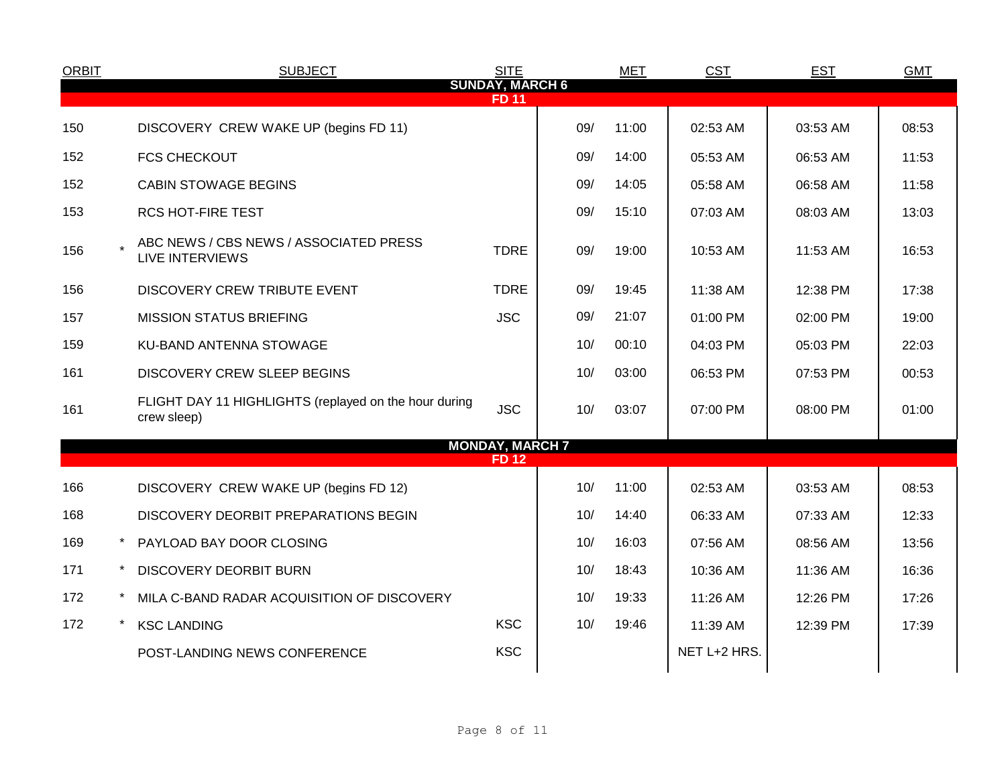| <b>ORBIT</b> | <b>SUBJECT</b>                                                       | <b>SITE</b>                            |     | <b>MET</b> | <b>CST</b>   | <b>EST</b> | <b>GMT</b> |
|--------------|----------------------------------------------------------------------|----------------------------------------|-----|------------|--------------|------------|------------|
|              |                                                                      | <b>SUNDAY, MARCH 6</b><br><b>FD 11</b> |     |            |              |            |            |
| 150          | DISCOVERY CREW WAKE UP (begins FD 11)                                |                                        | 09/ | 11:00      | 02:53 AM     | 03:53 AM   | 08:53      |
| 152          | <b>FCS CHECKOUT</b>                                                  |                                        | 09/ | 14:00      | 05:53 AM     | 06:53 AM   | 11:53      |
| 152          | <b>CABIN STOWAGE BEGINS</b>                                          |                                        | 09/ | 14:05      | 05:58 AM     | 06:58 AM   | 11:58      |
| 153          | <b>RCS HOT-FIRE TEST</b>                                             |                                        | 09/ | 15:10      | 07:03 AM     | 08:03 AM   | 13:03      |
| 156          | ABC NEWS / CBS NEWS / ASSOCIATED PRESS<br><b>LIVE INTERVIEWS</b>     | <b>TDRE</b>                            | 09/ | 19:00      | 10:53 AM     | 11:53 AM   | 16:53      |
| 156          | DISCOVERY CREW TRIBUTE EVENT                                         | <b>TDRE</b>                            | 09/ | 19:45      | 11:38 AM     | 12:38 PM   | 17:38      |
| 157          | <b>MISSION STATUS BRIEFING</b>                                       | <b>JSC</b>                             | 09/ | 21:07      | 01:00 PM     | 02:00 PM   | 19:00      |
| 159          | KU-BAND ANTENNA STOWAGE                                              |                                        | 10/ | 00:10      | 04:03 PM     | 05:03 PM   | 22:03      |
| 161          | <b>DISCOVERY CREW SLEEP BEGINS</b>                                   |                                        | 10/ | 03:00      | 06:53 PM     | 07:53 PM   | 00:53      |
| 161          | FLIGHT DAY 11 HIGHLIGHTS (replayed on the hour during<br>crew sleep) | <b>JSC</b>                             | 10/ | 03:07      | 07:00 PM     | 08:00 PM   | 01:00      |
|              |                                                                      | <b>MONDAY, MARCH 7</b><br><b>FD12</b>  |     |            |              |            |            |
| 166          | DISCOVERY CREW WAKE UP (begins FD 12)                                |                                        | 10/ | 11:00      | 02:53 AM     | 03:53 AM   | 08:53      |
| 168          | DISCOVERY DEORBIT PREPARATIONS BEGIN                                 |                                        | 10/ | 14:40      | 06:33 AM     | 07:33 AM   | 12:33      |
| 169          | PAYLOAD BAY DOOR CLOSING                                             |                                        | 10/ | 16:03      | 07:56 AM     | 08:56 AM   | 13:56      |
| 171          | <b>DISCOVERY DEORBIT BURN</b>                                        |                                        | 10/ | 18:43      | 10:36 AM     | 11:36 AM   | 16:36      |
| 172          | MILA C-BAND RADAR ACQUISITION OF DISCOVERY                           |                                        | 10/ | 19:33      | 11:26 AM     | 12:26 PM   | 17:26      |
| 172          | <b>KSC LANDING</b>                                                   | <b>KSC</b>                             | 10/ | 19:46      | 11:39 AM     | 12:39 PM   | 17:39      |
|              | POST-LANDING NEWS CONFERENCE                                         | <b>KSC</b>                             |     |            | NET L+2 HRS. |            |            |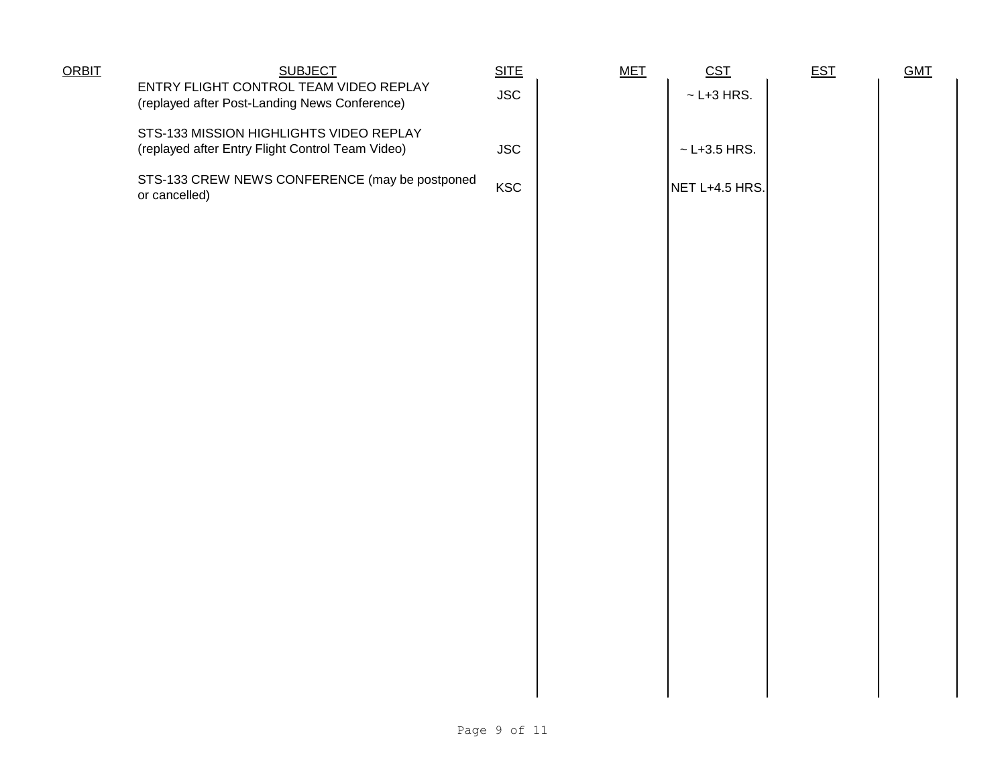| <b>ORBIT</b> | <b>SUBJECT</b><br>ENTRY FLIGHT CONTROL TEAM VIDEO REPLAY                                    | SITE<br><b>JSC</b> | <b>MET</b> | CST<br>$\sim$ L+3 HRS. | <b>EST</b> | <b>GMT</b> |
|--------------|---------------------------------------------------------------------------------------------|--------------------|------------|------------------------|------------|------------|
|              | (replayed after Post-Landing News Conference)                                               |                    |            |                        |            |            |
|              | STS-133 MISSION HIGHLIGHTS VIDEO REPLAY<br>(replayed after Entry Flight Control Team Video) | <b>JSC</b>         |            | $~\sim$ L+3.5 HRS.     |            |            |
|              | STS-133 CREW NEWS CONFERENCE (may be postponed<br>or cancelled)                             | <b>KSC</b>         |            | NET L+4.5 HRS.         |            |            |
|              |                                                                                             |                    |            |                        |            |            |
|              |                                                                                             |                    |            |                        |            |            |
|              |                                                                                             |                    |            |                        |            |            |
|              |                                                                                             |                    |            |                        |            |            |
|              |                                                                                             |                    |            |                        |            |            |
|              |                                                                                             |                    |            |                        |            |            |
|              |                                                                                             |                    |            |                        |            |            |
|              |                                                                                             |                    |            |                        |            |            |
|              |                                                                                             |                    |            |                        |            |            |
|              |                                                                                             |                    |            |                        |            |            |
|              |                                                                                             |                    |            |                        |            |            |
|              |                                                                                             |                    |            |                        |            |            |
|              |                                                                                             |                    |            |                        |            |            |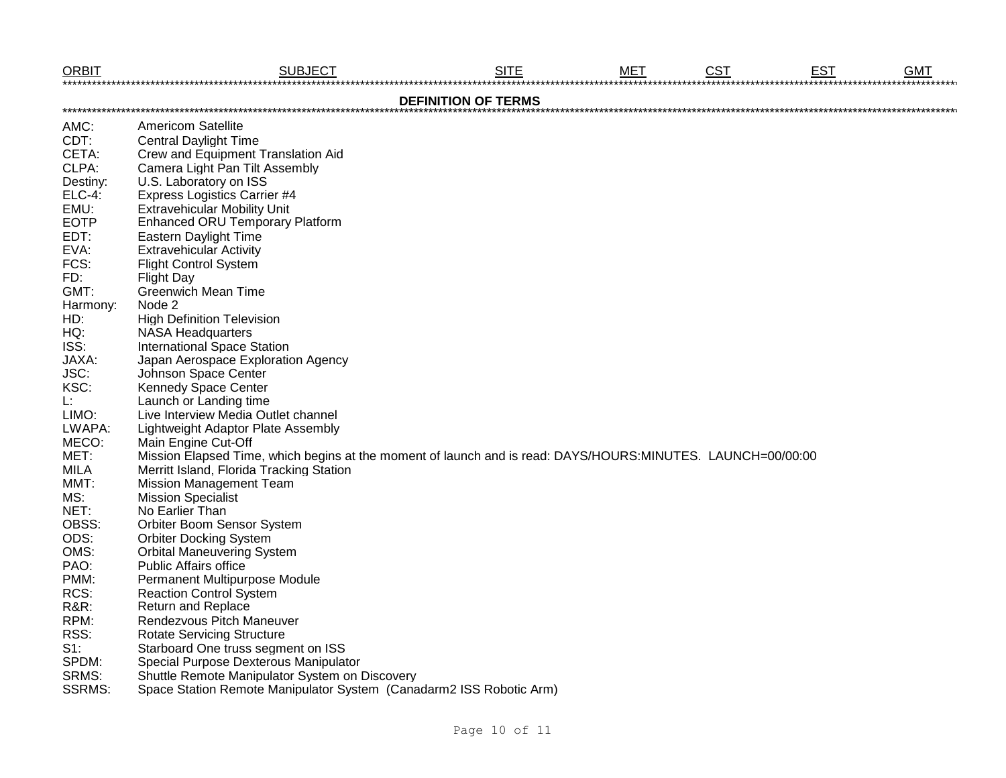| <b>ORBIT</b>    | <b>SUBJECT</b>                                                                                              | <b>SITE</b>                | <b>MET</b> | <b>CST</b> | <b>EST</b> | <b>GMT</b> |
|-----------------|-------------------------------------------------------------------------------------------------------------|----------------------------|------------|------------|------------|------------|
|                 |                                                                                                             | <b>DEFINITION OF TERMS</b> |            |            |            |            |
| AMC:            | Americom Satellite                                                                                          |                            |            |            |            |            |
| CDT:            | <b>Central Daylight Time</b>                                                                                |                            |            |            |            |            |
| CETA:           | Crew and Equipment Translation Aid                                                                          |                            |            |            |            |            |
| CLPA:           | Camera Light Pan Tilt Assembly                                                                              |                            |            |            |            |            |
| Destiny:        | U.S. Laboratory on ISS                                                                                      |                            |            |            |            |            |
| <b>ELC-4:</b>   | <b>Express Logistics Carrier #4</b>                                                                         |                            |            |            |            |            |
| EMU:            | <b>Extravehicular Mobility Unit</b>                                                                         |                            |            |            |            |            |
| <b>EOTP</b>     | <b>Enhanced ORU Temporary Platform</b>                                                                      |                            |            |            |            |            |
| EDT:            | <b>Eastern Daylight Time</b>                                                                                |                            |            |            |            |            |
| EVA:            | <b>Extravehicular Activity</b>                                                                              |                            |            |            |            |            |
| FCS:            | <b>Flight Control System</b>                                                                                |                            |            |            |            |            |
| FD:             | <b>Flight Day</b>                                                                                           |                            |            |            |            |            |
| GMT:            | <b>Greenwich Mean Time</b>                                                                                  |                            |            |            |            |            |
| Harmony:        | Node 2                                                                                                      |                            |            |            |            |            |
| HD:             | <b>High Definition Television</b>                                                                           |                            |            |            |            |            |
| HQ:             | <b>NASA Headquarters</b>                                                                                    |                            |            |            |            |            |
| ISS:            | <b>International Space Station</b>                                                                          |                            |            |            |            |            |
| JAXA:           | Japan Aerospace Exploration Agency                                                                          |                            |            |            |            |            |
| JSC:            | Johnson Space Center                                                                                        |                            |            |            |            |            |
| KSC:            | Kennedy Space Center                                                                                        |                            |            |            |            |            |
| L:              | Launch or Landing time                                                                                      |                            |            |            |            |            |
| LIMO:           | Live Interview Media Outlet channel                                                                         |                            |            |            |            |            |
| LWAPA:          | Lightweight Adaptor Plate Assembly                                                                          |                            |            |            |            |            |
| MECO:           | Main Engine Cut-Off                                                                                         |                            |            |            |            |            |
| MET:            | Mission Elapsed Time, which begins at the moment of launch and is read: DAYS/HOURS:MINUTES. LAUNCH=00/00:00 |                            |            |            |            |            |
| <b>MILA</b>     | Merritt Island, Florida Tracking Station                                                                    |                            |            |            |            |            |
| MMT:            | <b>Mission Management Team</b>                                                                              |                            |            |            |            |            |
| MS:             | <b>Mission Specialist</b>                                                                                   |                            |            |            |            |            |
| NET:            | No Earlier Than                                                                                             |                            |            |            |            |            |
| OBSS:           | Orbiter Boom Sensor System                                                                                  |                            |            |            |            |            |
| ODS:            | <b>Orbiter Docking System</b>                                                                               |                            |            |            |            |            |
| OMS:            | <b>Orbital Maneuvering System</b>                                                                           |                            |            |            |            |            |
| PAO:            | <b>Public Affairs office</b>                                                                                |                            |            |            |            |            |
| PMM:            | Permanent Multipurpose Module                                                                               |                            |            |            |            |            |
| RCS:            | <b>Reaction Control System</b>                                                                              |                            |            |            |            |            |
| <b>R&amp;R:</b> | Return and Replace                                                                                          |                            |            |            |            |            |
| RPM:            | Rendezvous Pitch Maneuver                                                                                   |                            |            |            |            |            |
| RSS:            | <b>Rotate Servicing Structure</b>                                                                           |                            |            |            |            |            |
| $S1$ :          | Starboard One truss segment on ISS                                                                          |                            |            |            |            |            |
| SPDM:           | Special Purpose Dexterous Manipulator                                                                       |                            |            |            |            |            |
| SRMS:           | Shuttle Remote Manipulator System on Discovery                                                              |                            |            |            |            |            |
| <b>SSRMS:</b>   | Space Station Remote Manipulator System (Canadarm2 ISS Robotic Arm)                                         |                            |            |            |            |            |